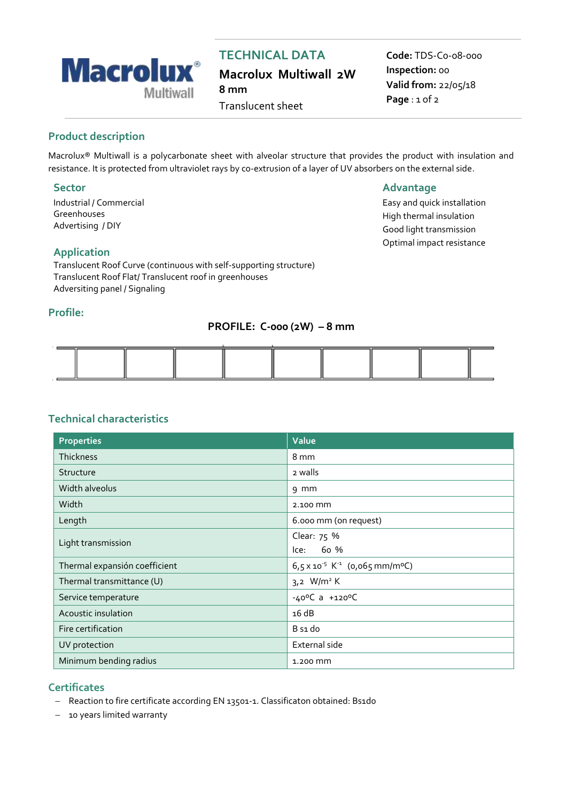

# **TECHNICAL DATA**

**Macrolux Multiwall 2W** 

**8 mm** Translucent sheet **Code:** TDS-C0-08-000 **Inspection:** 00 **Valid from:** 22/05/18 **Page** : 1 of 2

# **Product description**

Macrolux® Multiwall is a polycarbonate sheet with alveolar structure that provides the product with insulation and resistance. It is protected from ultraviolet rays by co-extrusion of a layer of UV absorbers on the external side.

Industrial / Commercial Greenhouses Advertising / DIY

# **Sector Advantage**

Easy and quick installation High thermal insulation Good light transmission Optimal impact resistance

# **Application**

Translucent Roof Curve (continuous with self-supporting structure) Translucent Roof Flat/ Translucent roof in greenhouses Adversiting panel / Signaling

## **Profile:**

#### **PROFILE: C-000 (2W) – 8 mm**

## **Technical characteristics**

| <b>Properties</b>             | Value                                                            |  |  |
|-------------------------------|------------------------------------------------------------------|--|--|
| <b>Thickness</b>              | 8 mm                                                             |  |  |
| Structure                     | 2 walls                                                          |  |  |
| Width alveolus                | 9 mm                                                             |  |  |
| Width                         | 2.100 mm                                                         |  |  |
| Length                        | 6.000 mm (on request)                                            |  |  |
| Light transmission            | Clear: 75 %                                                      |  |  |
|                               | 6o %<br>lce:                                                     |  |  |
| Thermal expansión coefficient | $6,5 \times 10^{-5}$ K <sup>-1</sup> (0,065 mm/m <sup>o</sup> C) |  |  |
| Thermal transmittance (U)     | $3.2$ W/m <sup>2</sup> K                                         |  |  |
| Service temperature           | $-40^{\circ}$ C a +120°C                                         |  |  |
| Acoustic insulation           | 16dB                                                             |  |  |
| Fire certification            | B s1 do                                                          |  |  |
| UV protection                 | External side                                                    |  |  |
| Minimum bending radius        | 1.200 mm                                                         |  |  |

#### **Certificates**

- Reaction to fire certificate according EN 13501-1. Classificaton obtained: Bs1do
- 10 years limited warranty